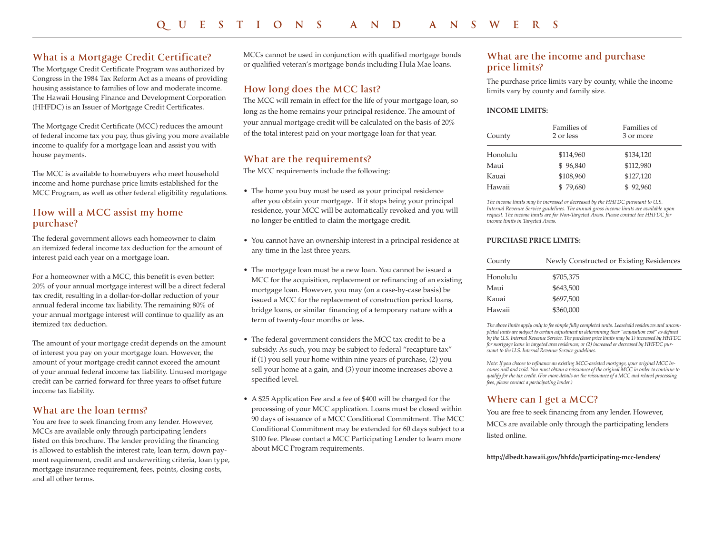## **What is a Mortgage Credit Certificate?**

The Mortgage Credit Certificate Program was authorized by Congress in the 1984 Tax Reform Act as a means of providing housing assistance to families of low and moderate income. The Hawaii Housing Finance and Development Corporation (HHFDC) is an Issuer of Mortgage Credit Certificates.

The Mortgage Credit Certificate (MCC) reduces the amount of federal income tax you pay, thus giving you more available income to qualify for a mortgage loan and assist you with house payments.

The MCC is available to homebuyers who meet household income and home purchase price limits established for the MCC Program, as well as other federal eligibility regulations.

### **How will a MCC assist my home purchase?**

The federal government allows each homeowner to claim an itemized federal income tax deduction for the amount of interest paid each year on a mortgage loan.

For a homeowner with a MCC, this benefit is even better: 20% of your annual mortgage interest will be a direct federal tax credit, resulting in a dollar-for-dollar reduction of your annual federal income tax liability. The remaining 80% of your annual mortgage interest will continue to qualify as an itemized tax deduction.

The amount of your mortgage credit depends on the amount of interest you pay on your mortgage loan. However, the amount of your mortgage credit cannot exceed the amount of your annual federal income tax liability. Unused mortgage credit can be carried forward for three years to offset future income tax liability.

## **What are the loan terms?**

You are free to seek financing from any lender. However, MCCs are available only through participating lenders listed on this brochure. The lender providing the financing is allowed to establish the interest rate, loan term, down payment requirement, credit and underwriting criteria, loan type, mortgage insurance requirement, fees, points, closing costs, and all other terms.

MCCs cannot be used in conjunction with qualified mortgage bonds or qualified veteran's mortgage bonds including Hula Mae loans.

## **How long does the MCC last?**

The MCC will remain in effect for the life of your mortgage loan, so long as the home remains your principal residence. The amount of your annual mortgage credit will be calculated on the basis of 20% of the total interest paid on your mortgage loan for that year.

## **What are the requirements?**

The MCC requirements include the following:

- The home you buy must be used as your principal residence after you obtain your mortgage. If it stops being your principal residence, your MCC will be automatically revoked and you will no longer be entitled to claim the mortgage credit.
- You cannot have an ownership interest in a principal residence at any time in the last three years.
- The mortgage loan must be a new loan. You cannot be issued a MCC for the acquisition, replacement or refinancing of an existing mortgage loan. However, you may (on a case-by-case basis) be issued a MCC for the replacement of construction period loans, bridge loans, or similar financing of a temporary nature with a term of twenty-four months or less.
- The federal government considers the MCC tax credit to be a subsidy. As such, you may be subject to federal "recapture tax" if (1) you sell your home within nine years of purchase, (2) you sell your home at a gain, and (3) your income increases above a specified level.
- A \$25 Application Fee and a fee of \$400 will be charged for the processing of your MCC application. Loans must be closed within 90 days of issuance of a MCC Conditional Commitment. The MCC Conditional Commitment may be extended for 60 days subject to a \$100 fee. Please contact a MCC Participating Lender to learn more about MCC Program requirements.

## **What are the income and purchase price limits?**

The purchase price limits vary by county, while the income limits vary by county and family size.

#### **INCOME LIMITS:**

| County   | Families of<br>2 or less | Families of<br>3 or more |
|----------|--------------------------|--------------------------|
| Honolulu | \$114,960                | \$134,120                |
| Maui     | \$96,840                 | \$112,980                |
| Kauai    | \$108,960                | \$127,120                |
| Hawaii   | \$79,680                 | \$92,960                 |
|          |                          |                          |

*The income limits may be increased or decreased by the HHFDC pursuant to U.S. Internal Revenue Service guidelines. The annual gross income limits are available upon request. The income limits are for Non-Targeted Areas. Please contact the HHFDC for income limits in Targeted Areas.*

#### **PURCHASE PRICE LIMITS:**

| County   | Newly Constructed or Existing Residences |  |
|----------|------------------------------------------|--|
| Honolulu | \$705,375                                |  |
| Maui     | \$643,500                                |  |
| Kauai    | \$697,500                                |  |
| Hawaii   | \$360,000                                |  |

*The abovelimits apply only to feesimplefully completed units. Leasehold residences and uncompleted units aresubject to certain adjustment in determining their "acquisition cost" as defined by the U.S. Internal Revenue Service. The purchase pricelimits may be 1) increased by HHFDC for mortgageloansin targeted area residences; or(2) increased or decreased by HHFDC pursuant to the U.S. Internal Revenue Service guidelines.*

*Note: If you choose to refinance an existing MCC-assisted mortgage, your original MCC becomes null and void. You must obtain a reissuance of the original MCC in order to continue to qualify for the tax credit. (For more details on the reissuance of a MCC and related processing fees, please contact a participating lender.)*

## **Where can I get a MCC?**

You are free to seek financing from any lender. However,

MCCs are available only through the participating lenders listed online.

**http://dbedt.hawaii.gov/hhfdc/participating-mcc-lenders/**